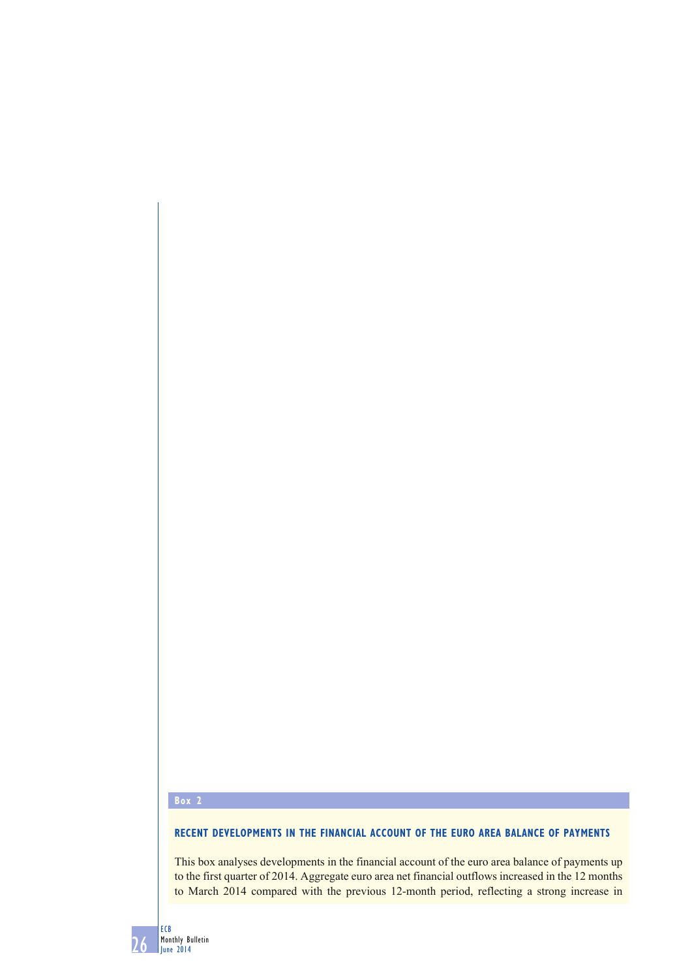## **Box 2**

## **RECENT DEVELOPMENTS IN THE FINANCIAL ACCOUNT OF THE EURO AREA BALANCE OF PAYMENTS**

This box analyses developments in the financial account of the euro area balance of payments up to the first quarter of 2014. Aggregate euro area net financial outflows increased in the 12 months to March 2014 compared with the previous 12-month period, reflecting a strong increase in

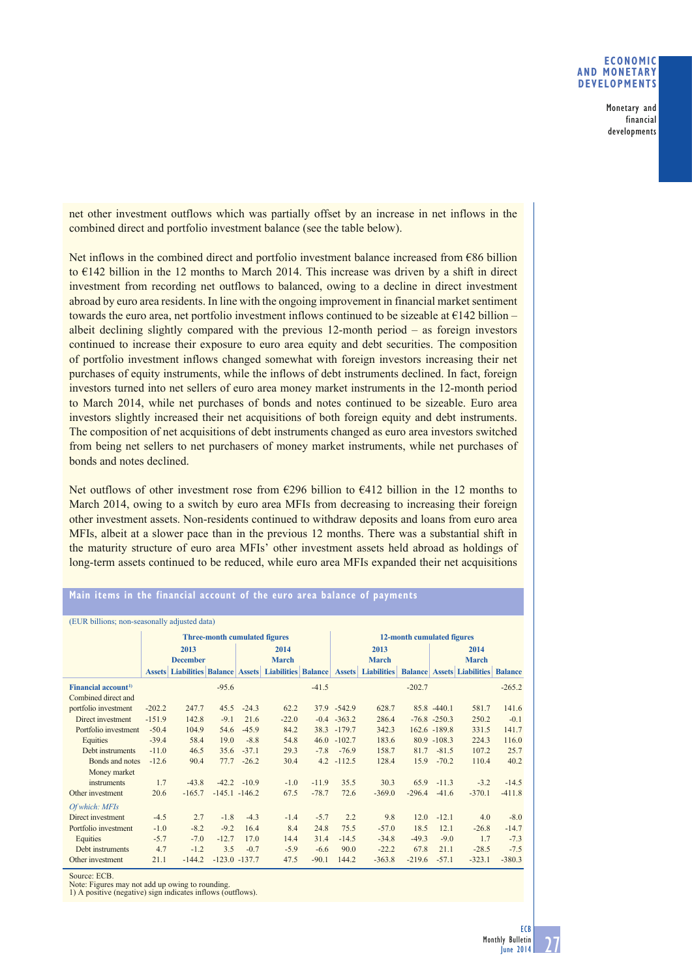## **ECONOMIC AND MONETARY DEVELOPMENTS**

Monetary and financial developments

net other investment outflows which was partially offset by an increase in net inflows in the combined direct and portfolio investment balance (see the table below).

Net inflows in the combined direct and portfolio investment balance increased from €86 billion to  $E142$  billion in the 12 months to March 2014. This increase was driven by a shift in direct investment from recording net outflows to balanced, owing to a decline in direct investment abroad by euro area residents. In line with the ongoing improvement in financial market sentiment towards the euro area, net portfolio investment inflows continued to be sizeable at  $E$ 142 billion – albeit declining slightly compared with the previous 12-month period – as foreign investors continued to increase their exposure to euro area equity and debt securities. The composition of portfolio investment inflows changed somewhat with foreign investors increasing their net purchases of equity instruments, while the inflows of debt instruments declined. In fact, foreign investors turned into net sellers of euro area money market instruments in the 12-month period to March 2014, while net purchases of bonds and notes continued to be sizeable. Euro area investors slightly increased their net acquisitions of both foreign equity and debt instruments. The composition of net acquisitions of debt instruments changed as euro area investors switched from being net sellers to net purchasers of money market instruments, while net purchases of bonds and notes declined.

Net outflows of other investment rose from  $\epsilon$ 296 billion to  $\epsilon$ 412 billion in the 12 months to March 2014, owing to a switch by euro area MFIs from decreasing to increasing their foreign other investment assets. Non-residents continued to withdraw deposits and loans from euro area MFIs, albeit at a slower pace than in the previous 12 months. There was a substantial shift in the maturity structure of euro area MFIs' other investment assets held abroad as holdings of long-term assets continued to be reduced, while euro area MFIs expanded their net acquisitions

| (EUR billions; non-seasonally adjusted data) |                                      |          |                  |                |                                                      |                |                            |                    |          |                 |                                         |                |
|----------------------------------------------|--------------------------------------|----------|------------------|----------------|------------------------------------------------------|----------------|----------------------------|--------------------|----------|-----------------|-----------------------------------------|----------------|
|                                              | <b>Three-month cumulated figures</b> |          |                  |                |                                                      |                | 12-month cumulated figures |                    |          |                 |                                         |                |
|                                              | 2013                                 |          |                  | 2014           |                                                      |                | 2013                       |                    |          | 2014            |                                         |                |
|                                              | <b>December</b>                      |          |                  | <b>March</b>   |                                                      |                | <b>March</b>               |                    |          | <b>March</b>    |                                         |                |
|                                              |                                      |          |                  |                | <b>Assets Liabilities Balance Assets Liabilities</b> | <b>Balance</b> | <b>Assets</b>              | <b>Liabilities</b> |          |                 | <b>Balance   Assets   Liabilities  </b> | <b>Balance</b> |
| Financial account <sup>1)</sup>              |                                      |          | $-95.6$          |                |                                                      | $-41.5$        |                            |                    | $-202.7$ |                 |                                         | $-265.2$       |
| Combined direct and                          |                                      |          |                  |                |                                                      |                |                            |                    |          |                 |                                         |                |
| portfolio investment                         | $-202.2$                             | 247.7    | 45.5             | $-24.3$        | 62.2                                                 |                | 37.9 - 542.9               | 628.7              |          | $85.8 - 440.1$  | 581.7                                   | 141.6          |
| Direct investment                            | $-151.9$                             | 142.8    | $-9.1$           | 21.6           | $-22.0$                                              |                | $-0.4$ $-363.2$            | 286.4              |          | $-76.8 - 250.3$ | 250.2                                   | $-0.1$         |
| Portfolio investment                         | $-50.4$                              | 104.9    | 54.6             | $-45.9$        | 84.2                                                 |                | 38.3 -179.7                | 342.3              |          | 162.6 -189.8    | 331.5                                   | 141.7          |
| Equities                                     | $-39.4$                              | 58.4     | 19.0             | $-8.8$         | 54.8                                                 |                | $46.0 - 102.7$             | 183.6              |          | $80.9 - 108.3$  | 224.3                                   | 116.0          |
| Debt instruments                             | $-11.0$                              | 46.5     | 35.6             | $-37.1$        | 29.3                                                 | $-7.8$         | $-76.9$                    | 158.7              | 81.7     | $-81.5$         | 107.2                                   | 25.7           |
| Bonds and notes                              | $-12.6$                              | 90.4     | 77.7             | $-26.2$        | 30.4                                                 |                | $4.2 - 112.5$              | 128.4              | 15.9     | $-70.2$         | 110.4                                   | 40.2           |
| Money market                                 |                                      |          |                  |                |                                                      |                |                            |                    |          |                 |                                         |                |
| instruments                                  | 1.7                                  | $-43.8$  |                  | $-42.2 - 10.9$ | $-1.0$                                               | $-11.9$        | 35.5                       | 30.3               | 65.9     | $-11.3$         | $-3.2$                                  | $-14.5$        |
| Other investment                             | 20.6                                 | $-165.7$ | $-145.1 - 146.2$ |                | 67.5                                                 | $-78.7$        | 72.6                       | $-369.0$           | $-296.4$ | $-41.6$         | $-370.1$                                | $-411.8$       |
| Of which: MFIs                               |                                      |          |                  |                |                                                      |                |                            |                    |          |                 |                                         |                |
| Direct investment                            | $-4.5$                               | 2.7      | $-1.8$           | $-4.3$         | $-1.4$                                               | $-5.7$         | 2.2                        | 9.8                | 12.0     | $-12.1$         | 4.0                                     | $-8.0$         |
| Portfolio investment                         | $-1.0$                               | $-8.2$   | $-9.2$           | 16.4           | 8.4                                                  | 24.8           | 75.5                       | $-57.0$            | 18.5     | 12.1            | $-26.8$                                 | $-14.7$        |
| Equities                                     | $-5.7$                               | $-7.0$   | $-12.7$          | 17.0           | 14.4                                                 | 31.4           | $-14.5$                    | $-34.8$            | $-49.3$  | $-9.0$          | 1.7                                     | $-7.3$         |
| Debt instruments                             | 4.7                                  | $-1.2$   | 3.5              | $-0.7$         | $-5.9$                                               | $-6.6$         | 90.0                       | $-22.2$            | 67.8     | 21.1            | $-28.5$                                 | $-7.5$         |
| Other investment                             | 21.1                                 | $-144.2$ | $-123.0 - 137.7$ |                | 47.5                                                 | $-90.1$        | 144.2                      | $-363.8$           | $-219.6$ | $-57.1$         | $-323.1$                                | $-380.3$       |

## **Main items in the financial account of the euro area balance of payments**

Source: ECB.

Note: Figures may not add up owing to rounding. 1) A positive (negative) sign indicates inflows (outflows).